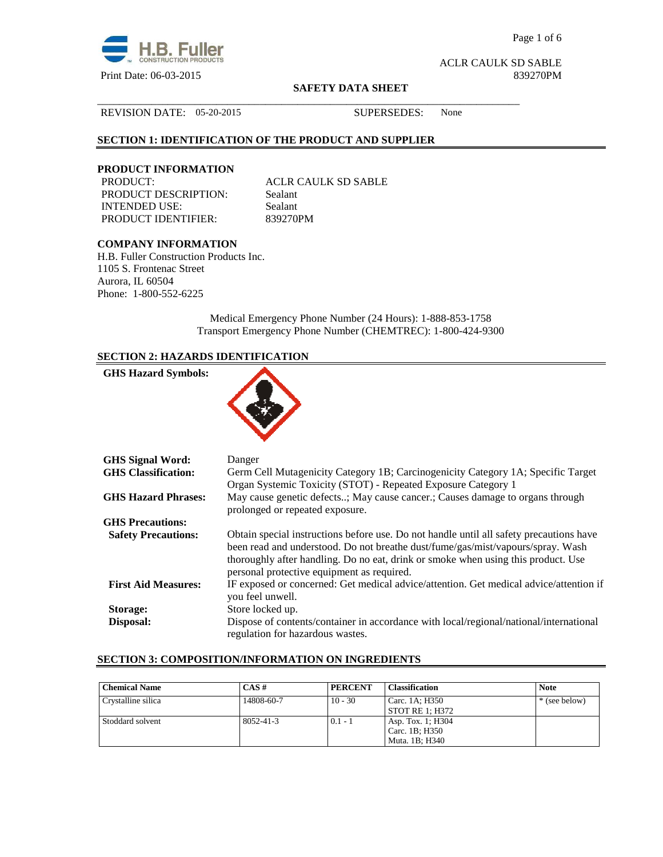

Page 1 of 6

ACLR CAULK SD SABLE

#### **SAFETY DATA SHEET**

## REVISION DATE: 05-20-2015 SUPERSEDES: None

## **SECTION 1: IDENTIFICATION OF THE PRODUCT AND SUPPLIER**

# **PRODUCT INFORMATION**

PRODUCT DESCRIPTION: Sealant INTENDED USE: Sealant PRODUCT IDENTIFIER: 839270PM

**ACLR CAULK SD SABLE** 

\_\_\_\_\_\_\_\_\_\_\_\_\_\_\_\_\_\_\_\_\_\_\_\_\_\_\_\_\_\_\_\_\_\_\_\_\_\_\_\_\_\_\_\_\_\_\_\_\_\_\_\_\_\_\_\_\_\_\_\_\_\_\_\_\_\_\_\_\_\_\_\_\_\_\_\_\_\_

## **COMPANY INFORMATION**

H.B. Fuller Construction Products Inc. 1105 S. Frontenac Street Aurora, IL 60504 Phone: 1-800-552-6225

> Medical Emergency Phone Number (24 Hours): 1-888-853-1758 Transport Emergency Phone Number (CHEMTREC): 1-800-424-9300

## **SECTION 2: HAZARDS IDENTIFICATION**

| <b>GHS Hazard Symbols:</b> |                                                                                                                                                                              |
|----------------------------|------------------------------------------------------------------------------------------------------------------------------------------------------------------------------|
| <b>GHS Signal Word:</b>    | Danger                                                                                                                                                                       |
| <b>GHS</b> Classification: | Germ Cell Mutagenicity Category 1B; Carcinogenicity Category 1A; Specific Target<br>Organ Systemic Toxicity (STOT) - Repeated Exposure Category 1                            |
| <b>GHS Hazard Phrases:</b> | May cause genetic defects; May cause cancer.; Causes damage to organs through<br>prolonged or repeated exposure.                                                             |
| <b>GHS</b> Precautions:    |                                                                                                                                                                              |
| <b>Safety Precautions:</b> | Obtain special instructions before use. Do not handle until all safety precautions have<br>haan waad and undevetoed. De not byesthe dust fume loss mist transum lenner. Week |

| <b>GHS Precautions:</b>    |                                                                                                            |
|----------------------------|------------------------------------------------------------------------------------------------------------|
| <b>Safety Precautions:</b> | Obtain special instructions before use. Do not handle until all safety precautions have                    |
|                            | been read and understood. Do not breathe dust/fume/gas/mist/vapours/spray. Wash                            |
|                            | thoroughly after handling. Do no eat, drink or smoke when using this product. Use                          |
|                            | personal protective equipment as required.                                                                 |
| <b>First Aid Measures:</b> | IF exposed or concerned: Get medical advice/attention. Get medical advice/attention if<br>you feel unwell. |
| Storage:                   | Store locked up.                                                                                           |
| Disposal:                  | Dispose of contents/container in accordance with local/regional/national/international                     |
|                            | regulation for hazardous wastes.                                                                           |

## **SECTION 3: COMPOSITION/INFORMATION ON INGREDIENTS**

| <b>Chemical Name</b> | $CAS \#$        | <b>PERCENT</b> | <b>Classification</b>  | <b>Note</b>   |
|----------------------|-----------------|----------------|------------------------|---------------|
| Crystalline silica   | 14808-60-7      | $10 - 30$      | Carc. 1A: H350         | * (see below) |
|                      |                 |                | <b>STOT RE 1: H372</b> |               |
| Stoddard solvent     | $8052 - 41 - 3$ | $0.1 - 1$      | Asp. Tox. 1; H304      |               |
|                      |                 |                | Carc. 1B; H350         |               |
|                      |                 |                | Muta. 1B; H340         |               |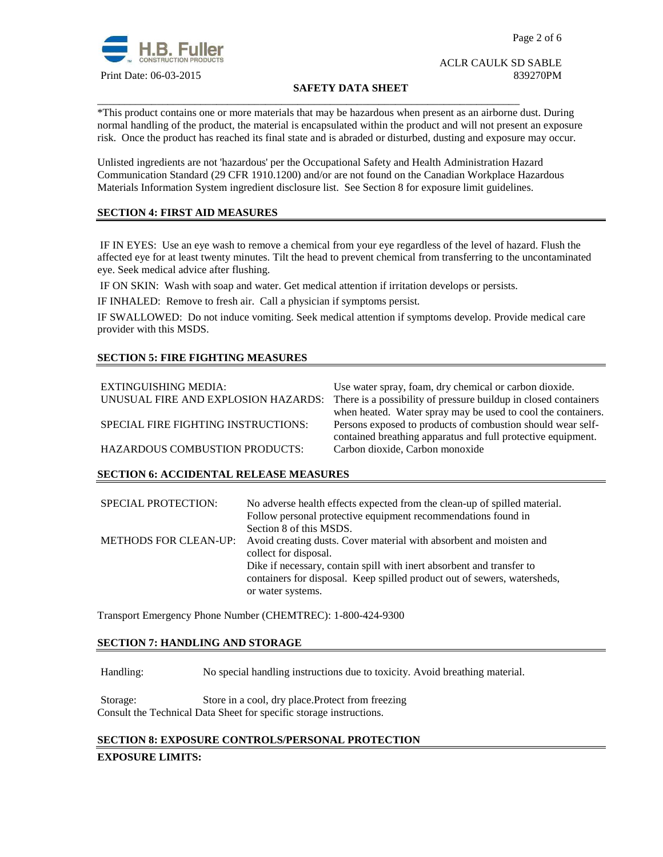

## ACLR CAULK SD SABLE Print Date: 06-03-2015 839270PM

## **SAFETY DATA SHEET**

\*This product contains one or more materials that may be hazardous when present as an airborne dust. During normal handling of the product, the material is encapsulated within the product and will not present an exposure risk. Once the product has reached its final state and is abraded or disturbed, dusting and exposure may occur.

Unlisted ingredients are not 'hazardous' per the Occupational Safety and Health Administration Hazard Communication Standard (29 CFR 1910.1200) and/or are not found on the Canadian Workplace Hazardous Materials Information System ingredient disclosure list. See Section 8 for exposure limit guidelines.

\_\_\_\_\_\_\_\_\_\_\_\_\_\_\_\_\_\_\_\_\_\_\_\_\_\_\_\_\_\_\_\_\_\_\_\_\_\_\_\_\_\_\_\_\_\_\_\_\_\_\_\_\_\_\_\_\_\_\_\_\_\_\_\_\_\_\_\_\_\_\_\_\_\_\_\_\_\_

## **SECTION 4: FIRST AID MEASURES**

 IF IN EYES: Use an eye wash to remove a chemical from your eye regardless of the level of hazard. Flush the affected eye for at least twenty minutes. Tilt the head to prevent chemical from transferring to the uncontaminated eye. Seek medical advice after flushing.

IF ON SKIN: Wash with soap and water. Get medical attention if irritation develops or persists.

IF INHALED: Remove to fresh air. Call a physician if symptoms persist.

IF SWALLOWED:Do not induce vomiting. Seek medical attention if symptoms develop. Provide medical care provider with this MSDS.

## **SECTION 5: FIRE FIGHTING MEASURES**

| EXTINGUISHING MEDIA:<br>UNUSUAL FIRE AND EXPLOSION HAZARDS: | Use water spray, foam, dry chemical or carbon dioxide.<br>There is a possibility of pressure buildup in closed containers |
|-------------------------------------------------------------|---------------------------------------------------------------------------------------------------------------------------|
|                                                             | when heated. Water spray may be used to cool the containers.                                                              |
| SPECIAL FIRE FIGHTING INSTRUCTIONS:                         | Persons exposed to products of combustion should wear self-                                                               |
|                                                             | contained breathing apparatus and full protective equipment.                                                              |
| <b>HAZARDOUS COMBUSTION PRODUCTS:</b>                       | Carbon dioxide, Carbon monoxide                                                                                           |

## **SECTION 6: ACCIDENTAL RELEASE MEASURES**

| <b>SPECIAL PROTECTION:</b> | No adverse health effects expected from the clean-up of spilled material.<br>Follow personal protective equipment recommendations found in<br>Section 8 of this MSDS.  |
|----------------------------|------------------------------------------------------------------------------------------------------------------------------------------------------------------------|
|                            | METHODS FOR CLEAN-UP: Avoid creating dusts. Cover material with absorbent and moisten and<br>collect for disposal.                                                     |
|                            | Dike if necessary, contain spill with inert absorbent and transfer to<br>containers for disposal. Keep spilled product out of sewers, watersheds,<br>or water systems. |

Transport Emergency Phone Number (CHEMTREC): 1-800-424-9300

## **SECTION 7: HANDLING AND STORAGE**

Handling: No special handling instructions due to toxicity. Avoid breathing material.

Storage: Store in a cool, dry place.Protect from freezing Consult the Technical Data Sheet for specific storage instructions.

## **SECTION 8: EXPOSURE CONTROLS/PERSONAL PROTECTION**

#### **EXPOSURE LIMITS:**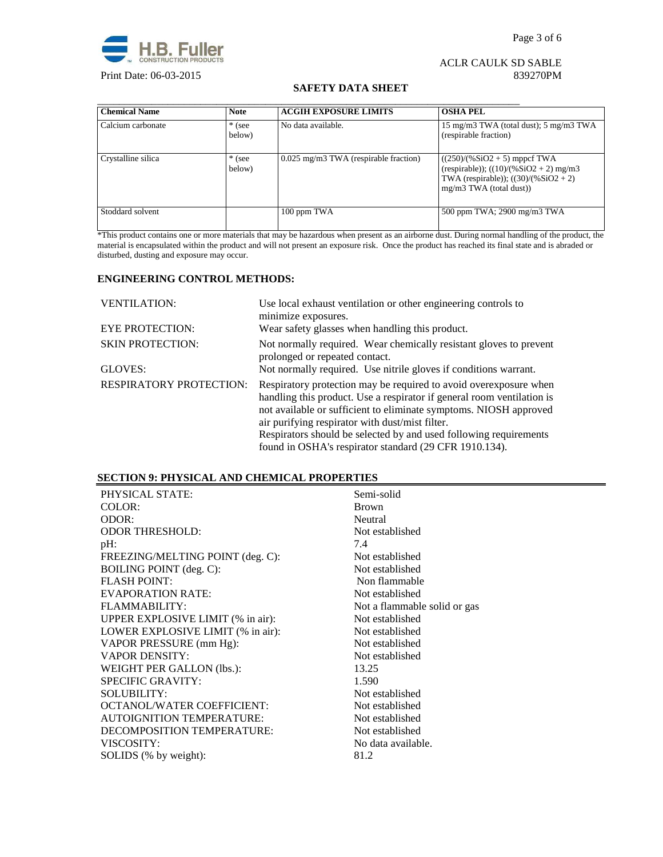

## ACLR CAULK SD SABLE Print Date: 06-03-2015 839270PM

#### **SAFETY DATA SHEET**

| <b>Chemical Name</b> | <b>Note</b>        | <b>ACGIH EXPOSURE LIMITS</b>          | <b>OSHA PEL</b>                                                                                                                                  |
|----------------------|--------------------|---------------------------------------|--------------------------------------------------------------------------------------------------------------------------------------------------|
| Calcium carbonate    | $*$ (see<br>below) | No data available.                    | 15 mg/m3 TWA (total dust); 5 mg/m3 TWA<br>(respirable fraction)                                                                                  |
| Crystalline silica   | $*$ (see<br>below) | 0.025 mg/m3 TWA (respirable fraction) | $((250)/(%SiO2 + 5)$ mppcf TWA<br>(respirable)); $((10)/(%SiO2 + 2)$ mg/m3<br>TWA (respirable)); $((30)/(%SiO2 + 2))$<br>mg/m3 TWA (total dust)) |
| Stoddard solvent     |                    | 100 ppm TWA                           | 500 ppm TWA; 2900 mg/m3 TWA                                                                                                                      |

\*This product contains one or more materials that may be hazardous when present as an airborne dust. During normal handling of the product, the material is encapsulated within the product and will not present an exposure risk. Once the product has reached its final state and is abraded or disturbed, dusting and exposure may occur.

## **ENGINEERING CONTROL METHODS:**

| <b>VENTILATION:</b>            | Use local exhaust ventilation or other engineering controls to<br>minimize exposures.                                                                                                                                                                                |
|--------------------------------|----------------------------------------------------------------------------------------------------------------------------------------------------------------------------------------------------------------------------------------------------------------------|
| <b>EYE PROTECTION:</b>         | Wear safety glasses when handling this product.                                                                                                                                                                                                                      |
| <b>SKIN PROTECTION:</b>        | Not normally required. Wear chemically resistant gloves to prevent<br>prolonged or repeated contact.                                                                                                                                                                 |
| GLOVES:                        | Not normally required. Use nitrile gloves if conditions warrant.                                                                                                                                                                                                     |
| <b>RESPIRATORY PROTECTION:</b> | Respiratory protection may be required to avoid over exposure when<br>handling this product. Use a respirator if general room ventilation is<br>not available or sufficient to eliminate symptoms. NIOSH approved<br>air purifying respirator with dust/mist filter. |
|                                | Respirators should be selected by and used following requirements                                                                                                                                                                                                    |
|                                | found in OSHA's respirator standard (29 CFR 1910.134).                                                                                                                                                                                                               |

## **SECTION 9: PHYSICAL AND CHEMICAL PROPERTIES**

| PHYSICAL STATE:                   | Semi-solid                   |
|-----------------------------------|------------------------------|
| COLOR:                            | <b>Brown</b>                 |
| ODOR:                             | Neutral                      |
| <b>ODOR THRESHOLD:</b>            | Not established              |
| pH:                               | 7.4                          |
| FREEZING/MELTING POINT (deg. C):  | Not established              |
| <b>BOILING POINT</b> (deg. C):    | Not established              |
| <b>FLASH POINT:</b>               | Non flammable                |
| <b>EVAPORATION RATE:</b>          | Not established              |
| FLAMMABILITY:                     | Not a flammable solid or gas |
| UPPER EXPLOSIVE LIMIT (% in air): | Not established              |
| LOWER EXPLOSIVE LIMIT (% in air): | Not established              |
| VAPOR PRESSURE (mm Hg):           | Not established              |
| <b>VAPOR DENSITY:</b>             | Not established              |
| WEIGHT PER GALLON (lbs.):         | 13.25                        |
| <b>SPECIFIC GRAVITY:</b>          | 1.590                        |
| <b>SOLUBILITY:</b>                | Not established              |
| <b>OCTANOL/WATER COEFFICIENT:</b> | Not established              |
| <b>AUTOIGNITION TEMPERATURE:</b>  | Not established              |
| DECOMPOSITION TEMPERATURE:        | Not established              |
| VISCOSITY:                        | No data available.           |
| SOLIDS (% by weight):             | 81.2                         |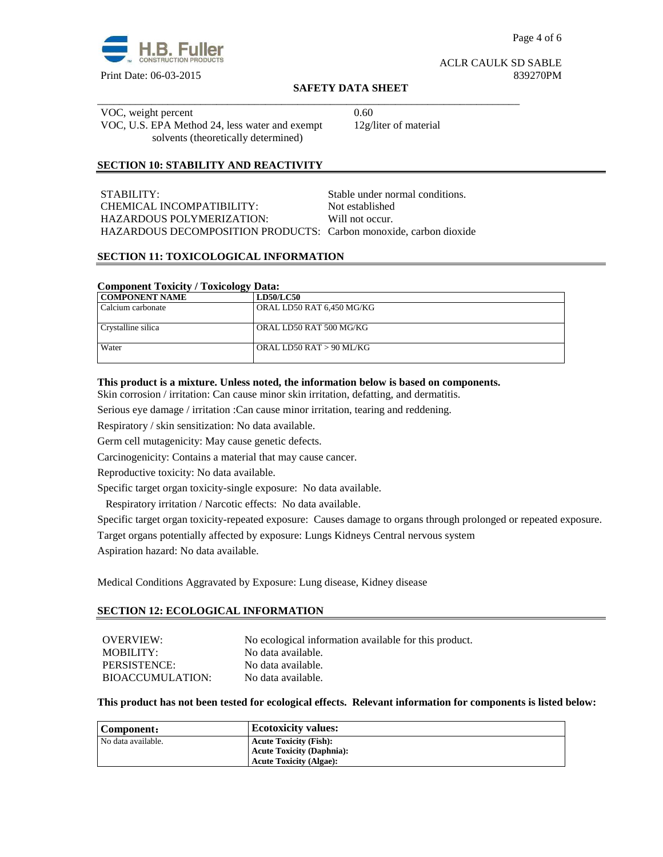

#### ACLR CAULK SD SABLE Print Date: 06-03-2015 839270PM

#### **SAFETY DATA SHEET**

\_\_\_\_\_\_\_\_\_\_\_\_\_\_\_\_\_\_\_\_\_\_\_\_\_\_\_\_\_\_\_\_\_\_\_\_\_\_\_\_\_\_\_\_\_\_\_\_\_\_\_\_\_\_\_\_\_\_\_\_\_\_\_\_\_\_\_\_\_\_\_\_\_\_\_\_\_\_ VOC, weight percent 0.60 VOC, U.S. EPA Method 24, less water and exempt solvents (theoretically determined)

12g/liter of material

## **SECTION 10: STABILITY AND REACTIVITY**

| STABILITY:                                                        | Stable under normal conditions. |
|-------------------------------------------------------------------|---------------------------------|
| CHEMICAL INCOMPATIBILITY:                                         | Not established                 |
| HAZARDOUS POLYMERIZATION:                                         | Will not occur.                 |
| HAZARDOUS DECOMPOSITION PRODUCTS: Carbon monoxide, carbon dioxide |                                 |

## **SECTION 11: TOXICOLOGICAL INFORMATION**

## **Component Toxicity / Toxicology Data:**

| <b>COMPONENT NAME</b> | <b>LD50/LC50</b>          |
|-----------------------|---------------------------|
| Calcium carbonate     | ORAL LD50 RAT 6,450 MG/KG |
|                       |                           |
| Crystalline silica    | ORAL LD50 RAT 500 MG/KG   |
|                       |                           |
| Water                 | ORAL LD50 RAT > 90 ML/KG  |
|                       |                           |

#### **This product is a mixture. Unless noted, the information below is based on components.**

Skin corrosion / irritation: Can cause minor skin irritation, defatting, and dermatitis.

Serious eye damage / irritation :Can cause minor irritation, tearing and reddening.

Respiratory / skin sensitization: No data available.

Germ cell mutagenicity: May cause genetic defects.

Carcinogenicity: Contains a material that may cause cancer.

Reproductive toxicity: No data available.

Specific target organ toxicity-single exposure:No data available.

Respiratory irritation / Narcotic effects: No data available.

Specific target organ toxicity-repeated exposure:Causes damage to organs through prolonged or repeated exposure.

Target organs potentially affected by exposure: Lungs Kidneys Central nervous system

Aspiration hazard: No data available.

Medical Conditions Aggravated by Exposure: Lung disease, Kidney disease

#### **SECTION 12: ECOLOGICAL INFORMATION**

| OVERVIEW:        | No ecological information available for this product. |
|------------------|-------------------------------------------------------|
| MOBILITY:        | No data available.                                    |
| PERSISTENCE:     | No data available.                                    |
| BIOACCUMULATION: | No data available.                                    |

#### **This product has not been tested for ecological effects. Relevant information for components is listed below:**

| Component:         | <b>Ecotoxicity values:</b>       |
|--------------------|----------------------------------|
| No data available. | <b>Acute Toxicity (Fish):</b>    |
|                    | <b>Acute Toxicity (Daphnia):</b> |
|                    | <b>Acute Toxicity (Algae):</b>   |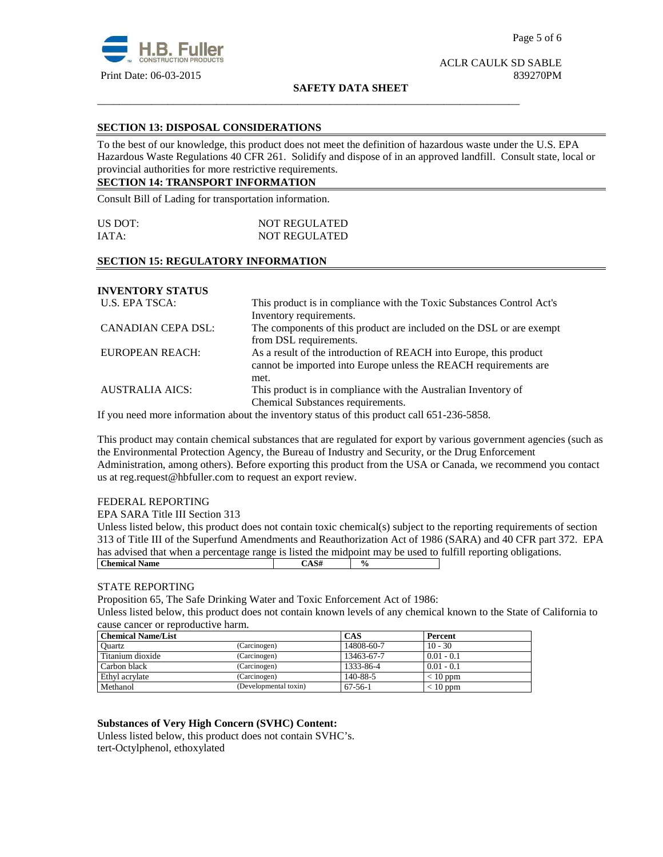

#### **SAFETY DATA SHEET**

\_\_\_\_\_\_\_\_\_\_\_\_\_\_\_\_\_\_\_\_\_\_\_\_\_\_\_\_\_\_\_\_\_\_\_\_\_\_\_\_\_\_\_\_\_\_\_\_\_\_\_\_\_\_\_\_\_\_\_\_\_\_\_\_\_\_\_\_\_\_\_\_\_\_\_\_\_\_

## **SECTION 13: DISPOSAL CONSIDERATIONS**

To the best of our knowledge, this product does not meet the definition of hazardous waste under the U.S. EPA Hazardous Waste Regulations 40 CFR 261. Solidify and dispose of in an approved landfill. Consult state, local or provincial authorities for more restrictive requirements.

## **SECTION 14: TRANSPORT INFORMATION**

Consult Bill of Lading for transportation information.

| US DOT: | <b>NOT REGULATED</b> |  |
|---------|----------------------|--|
| IATA:   | <b>NOT REGULATED</b> |  |

## **SECTION 15: REGULATORY INFORMATION**

## **INVENTORY STATUS**

| U.S. EPA TSCA:            | This product is in compliance with the Toxic Substances Control Act's |  |
|---------------------------|-----------------------------------------------------------------------|--|
|                           | Inventory requirements.                                               |  |
| <b>CANADIAN CEPA DSL:</b> | The components of this product are included on the DSL or are exempt  |  |
|                           | from DSL requirements.                                                |  |
| EUROPEAN REACH:           | As a result of the introduction of REACH into Europe, this product    |  |
|                           | cannot be imported into Europe unless the REACH requirements are      |  |
|                           | met.                                                                  |  |
| <b>AUSTRALIA AICS:</b>    | This product is in compliance with the Australian Inventory of        |  |
|                           | Chemical Substances requirements.                                     |  |

If you need more information about the inventory status of this product call 651-236-5858.

This product may contain chemical substances that are regulated for export by various government agencies (such as the Environmental Protection Agency, the Bureau of Industry and Security, or the Drug Enforcement Administration, among others). Before exporting this product from the USA or Canada, we recommend you contact us at reg.request@hbfuller.com to request an export review.

## FEDERAL REPORTING

EPA SARA Title III Section 313

Unless listed below, this product does not contain toxic chemical(s) subject to the reporting requirements of section 313 of Title III of the Superfund Amendments and Reauthorization Act of 1986 (SARA) and 40 CFR part 372. EPA has advised that when a percentage range is listed the midpoint may be used to fulfill reporting obligations. **Chemical Name**  $\qquad \qquad$   $\qquad \qquad$   $\qquad \qquad$   $\qquad \qquad$   $\qquad \qquad$   $\qquad \qquad$   $\qquad \qquad$   $\qquad \qquad$   $\qquad \qquad$   $\qquad \qquad$   $\qquad \qquad$   $\qquad \qquad$   $\qquad \qquad$   $\qquad \qquad$   $\qquad \qquad$   $\qquad \qquad$   $\qquad \qquad$   $\qquad \qquad$   $\qquad \qquad$   $\qquad \qquad$   $\qquad \qquad$   $\qquad \qquad$   $\qquad \qquad$ 

## STATE REPORTING

Proposition 65, The Safe Drinking Water and Toxic Enforcement Act of 1986:

Unless listed below, this product does not contain known levels of any chemical known to the State of California to cause cancer or reproductive harm.

| <b>Chemical Name/List</b> |                       | <b>CAS</b> | Percent      |
|---------------------------|-----------------------|------------|--------------|
| Ouartz                    | (Carcinogen)          | 14808-60-7 | $10 - 30$    |
| Titanium dioxide          | (Carcinogen)          | 13463-67-7 | $0.01 - 0.1$ |
| Carbon black              | (Carcinogen)          | 1333-86-4  | $0.01 - 0.1$ |
| Ethyl acrylate            | (Carcinogen)          | 140-88-5   | $< 10$ ppm   |
| Methanol                  | (Developmental toxin) | $67-56-1$  | $< 10$ ppm   |

## **Substances of Very High Concern (SVHC) Content:**

Unless listed below, this product does not contain SVHC's. tert-Octylphenol, ethoxylated